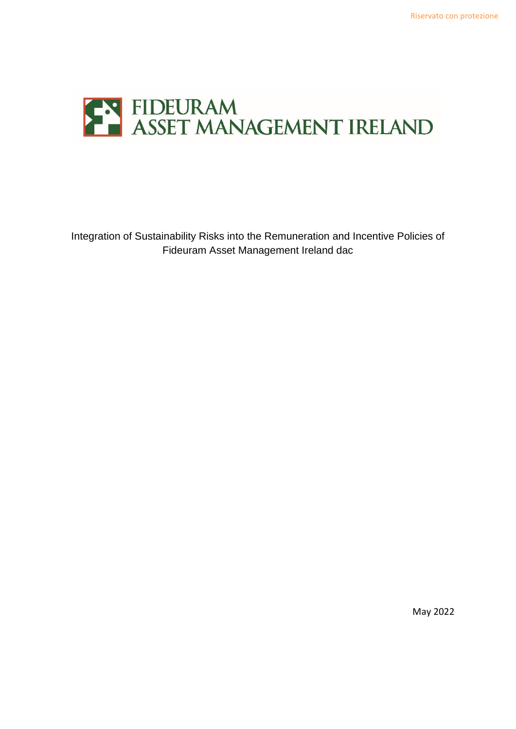

Integration of Sustainability Risks into the Remuneration and Incentive Policies of Fideuram Asset Management Ireland dac

May 2022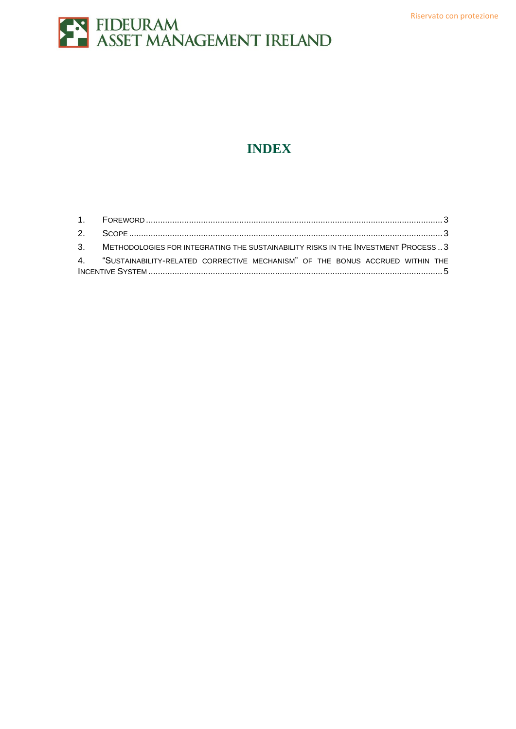

### **INDEX**

| 3. METHODOLOGIES FOR INTEGRATING THE SUSTAINABILITY RISKS IN THE INVESTMENT PROCESS 3 |  |
|---------------------------------------------------------------------------------------|--|
| 4. "SUSTAINABILITY-RELATED CORRECTIVE MECHANISM" OF THE BONUS ACCRUED WITHIN THE      |  |
|                                                                                       |  |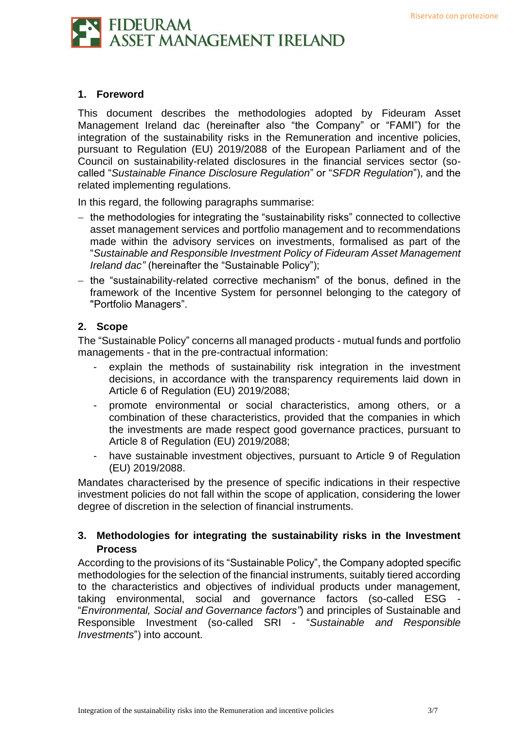

### <span id="page-2-0"></span>**1. Foreword**

This document describes the methodologies adopted by Fideuram Asset Management Ireland dac (hereinafter also "the Company" or "FAMI") for the integration of the sustainability risks in the Remuneration and incentive policies, pursuant to Regulation (EU) 2019/2088 of the European Parliament and of the Council on sustainability-related disclosures in the financial services sector (socalled "*Sustainable Finance Disclosure Regulation*" or "*SFDR Regulation*"), and the related implementing regulations.

In this regard, the following paragraphs summarise:

- − the methodologies for integrating the "sustainability risks" connected to collective asset management services and portfolio management and to recommendations made within the advisory services on investments, formalised as part of the "*Sustainable and Responsible Investment Policy of Fideuram Asset Management Ireland dac"* (hereinafter the "Sustainable Policy");
- − the "sustainability-related corrective mechanism" of the bonus, defined in the framework of the Incentive System for personnel belonging to the category of "Portfolio Managers".

#### <span id="page-2-1"></span>**2. Scope**

The "Sustainable Policy" concerns all managed products - mutual funds and portfolio managements - that in the pre-contractual information:

- explain the methods of sustainability risk integration in the investment decisions, in accordance with the transparency requirements laid down in Article 6 of Regulation (EU) 2019/2088;
- promote environmental or social characteristics, among others, or a combination of these characteristics, provided that the companies in which the investments are made respect good governance practices, pursuant to Article 8 of Regulation (EU) 2019/2088;
- have sustainable investment objectives, pursuant to Article 9 of Regulation (EU) 2019/2088.

Mandates characterised by the presence of specific indications in their respective investment policies do not fall within the scope of application, considering the lower degree of discretion in the selection of financial instruments.

### <span id="page-2-2"></span>**3. Methodologies for integrating the sustainability risks in the Investment Process**

According to the provisions of its "Sustainable Policy", the Company adopted specific methodologies for the selection of the financial instruments, suitably tiered according to the characteristics and objectives of individual products under management, taking environmental, social and governance factors (so-called ESG "*Environmental, Social and Governance factors"*) and principles of Sustainable and Responsible Investment (so-called SRI - "*Sustainable and Responsible Investments*") into account.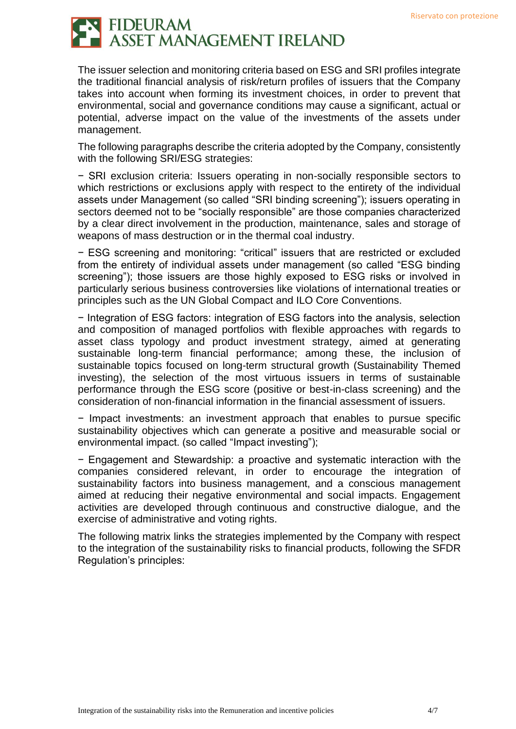# FIDEURAM<br>ASSET MANAGEMENT IRELAND

The issuer selection and monitoring criteria based on ESG and SRI profiles integrate the traditional financial analysis of risk/return profiles of issuers that the Company takes into account when forming its investment choices, in order to prevent that environmental, social and governance conditions may cause a significant, actual or potential, adverse impact on the value of the investments of the assets under management.

The following paragraphs describe the criteria adopted by the Company, consistently with the following SRI/ESG strategies:

− SRI exclusion criteria: Issuers operating in non-socially responsible sectors to which restrictions or exclusions apply with respect to the entirety of the individual assets under Management (so called "SRI binding screening"); issuers operating in sectors deemed not to be "socially responsible" are those companies characterized by a clear direct involvement in the production, maintenance, sales and storage of weapons of mass destruction or in the thermal coal industry.

− ESG screening and monitoring: "critical" issuers that are restricted or excluded from the entirety of individual assets under management (so called "ESG binding screening"); those issuers are those highly exposed to ESG risks or involved in particularly serious business controversies like violations of international treaties or principles such as the UN Global Compact and ILO Core Conventions.

− Integration of ESG factors: integration of ESG factors into the analysis, selection and composition of managed portfolios with flexible approaches with regards to asset class typology and product investment strategy, aimed at generating sustainable long-term financial performance; among these, the inclusion of sustainable topics focused on long-term structural growth (Sustainability Themed investing), the selection of the most virtuous issuers in terms of sustainable performance through the ESG score (positive or best-in-class screening) and the consideration of non-financial information in the financial assessment of issuers.

− Impact investments: an investment approach that enables to pursue specific sustainability objectives which can generate a positive and measurable social or environmental impact. (so called "Impact investing");

− Engagement and Stewardship: a proactive and systematic interaction with the companies considered relevant, in order to encourage the integration of sustainability factors into business management, and a conscious management aimed at reducing their negative environmental and social impacts. Engagement activities are developed through continuous and constructive dialogue, and the exercise of administrative and voting rights.

The following matrix links the strategies implemented by the Company with respect to the integration of the sustainability risks to financial products, following the SFDR Regulation's principles: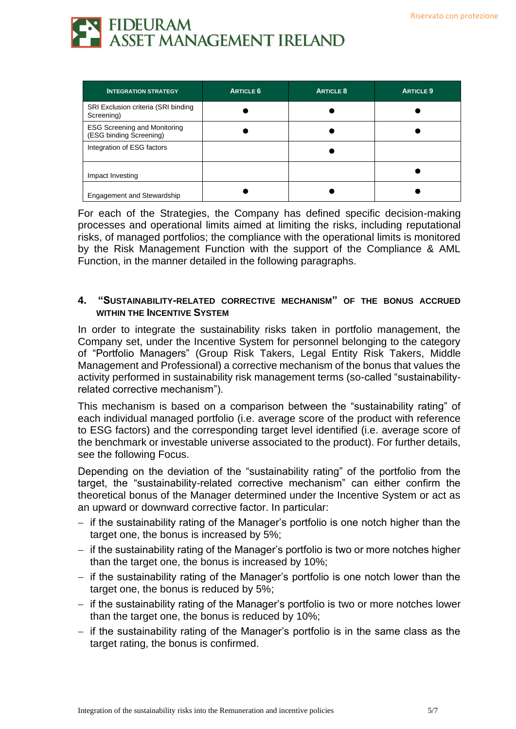

| <b>INTEGRATION STRATEGY</b>                                    | <b>ARTICLE 6</b> | <b>ARTICLE 8</b> | <b>ARTICLE 9</b> |
|----------------------------------------------------------------|------------------|------------------|------------------|
| SRI Exclusion criteria (SRI binding<br>Screening)              |                  |                  |                  |
| <b>ESG Screening and Monitoring</b><br>(ESG binding Screening) |                  |                  |                  |
| Integration of ESG factors                                     |                  |                  |                  |
| Impact Investing                                               |                  |                  |                  |
| <b>Engagement and Stewardship</b>                              |                  |                  |                  |

For each of the Strategies, the Company has defined specific decision-making processes and operational limits aimed at limiting the risks, including reputational risks, of managed portfolios; the compliance with the operational limits is monitored by the Risk Management Function with the support of the Compliance & AML Function, in the manner detailed in the following paragraphs.

#### <span id="page-4-0"></span>**4. "SUSTAINABILITY-RELATED CORRECTIVE MECHANISM" OF THE BONUS ACCRUED WITHIN THE INCENTIVE SYSTEM**

In order to integrate the sustainability risks taken in portfolio management, the Company set, under the Incentive System for personnel belonging to the category of "Portfolio Managers" (Group Risk Takers, Legal Entity Risk Takers, Middle Management and Professional) a corrective mechanism of the bonus that values the activity performed in sustainability risk management terms (so-called "sustainabilityrelated corrective mechanism").

This mechanism is based on a comparison between the "sustainability rating" of each individual managed portfolio (i.e. average score of the product with reference to ESG factors) and the corresponding target level identified (i.e. average score of the benchmark or investable universe associated to the product). For further details, see the following Focus.

Depending on the deviation of the "sustainability rating" of the portfolio from the target, the "sustainability-related corrective mechanism" can either confirm the theoretical bonus of the Manager determined under the Incentive System or act as an upward or downward corrective factor. In particular:

- − if the sustainability rating of the Manager's portfolio is one notch higher than the target one, the bonus is increased by 5%;
- − if the sustainability rating of the Manager's portfolio is two or more notches higher than the target one, the bonus is increased by 10%;
- − if the sustainability rating of the Manager's portfolio is one notch lower than the target one, the bonus is reduced by 5%;
- − if the sustainability rating of the Manager's portfolio is two or more notches lower than the target one, the bonus is reduced by 10%;
- − if the sustainability rating of the Manager's portfolio is in the same class as the target rating, the bonus is confirmed.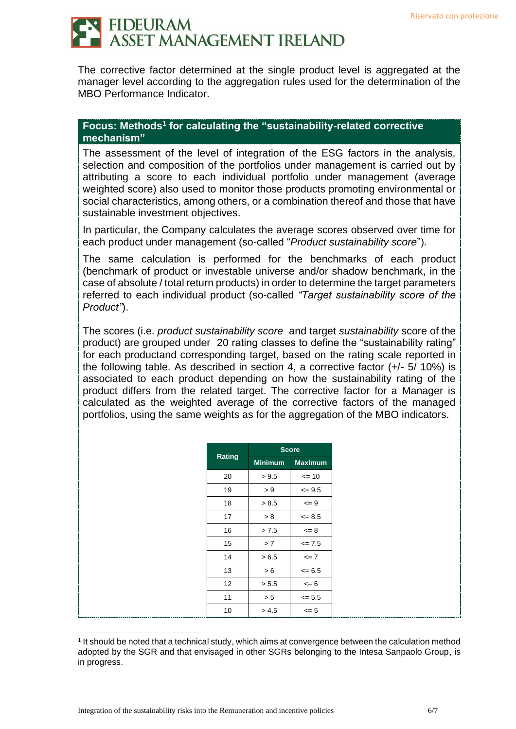### **FIDEURAM ASSET MANAGEMENT IRELAND**

The corrective factor determined at the single product level is aggregated at the manager level according to the aggregation rules used for the determination of the MBO Performance Indicator.

### Focus: Methods<sup>1</sup> for calculating the "sustainability-related corrective **mechanism"**

The assessment of the level of integration of the ESG factors in the analysis, selection and composition of the portfolios under management is carried out by attributing a score to each individual portfolio under management (average weighted score) also used to monitor those products promoting environmental or social characteristics, among others, or a combination thereof and those that have sustainable investment objectives.

In particular, the Company calculates the average scores observed over time for each product under management (so-called "*Product sustainability score*").

The same calculation is performed for the benchmarks of each product (benchmark of product or investable universe and/or shadow benchmark, in the case of absolute / total return products) in order to determine the target parameters referred to each individual product (so-called *"Target sustainability score of the Product"*).

The scores (i.e. *product sustainability score* and target *sustainability* score of the product) are grouped under 20 rating classes to define the "sustainability rating" for each productand corresponding target, based on the rating scale reported in the following table. As described in section 4, a corrective factor (+/- 5/ 10%) is associated to each product depending on how the sustainability rating of the product differs from the related target. The corrective factor for a Manager is calculated as the weighted average of the corrective factors of the managed portfolios, using the same weights as for the aggregation of the MBO indicators.

|        |                | <b>Score</b>   |
|--------|----------------|----------------|
| Rating | <b>Minimum</b> | <b>Maximum</b> |
| 20     | > 9.5          | $= 10$         |
| 19     | > 9            | $\leq$ 9.5     |
| 18     | > 8.5          | $\leq$ 9       |
| 17     | > 8            | $\leq$ 8.5     |
| 16     | > 7.5          | $= 8$          |
| 15     | >7             | $\leq$ 7.5     |
| 14     | > 6.5          | $= 7$          |
| 13     | > 6            | $= 6.5$        |
| 12     | > 5.5          | $\leq 6$       |
| 11     | > 5            | $\leq$ 5.5     |
| 10     | > 4.5          | $\leq$ 5       |

<sup>1</sup> It should be noted that a technical study, which aims at convergence between the calculation method adopted by the SGR and that envisaged in other SGRs belonging to the Intesa Sanpaolo Group, is in progress.